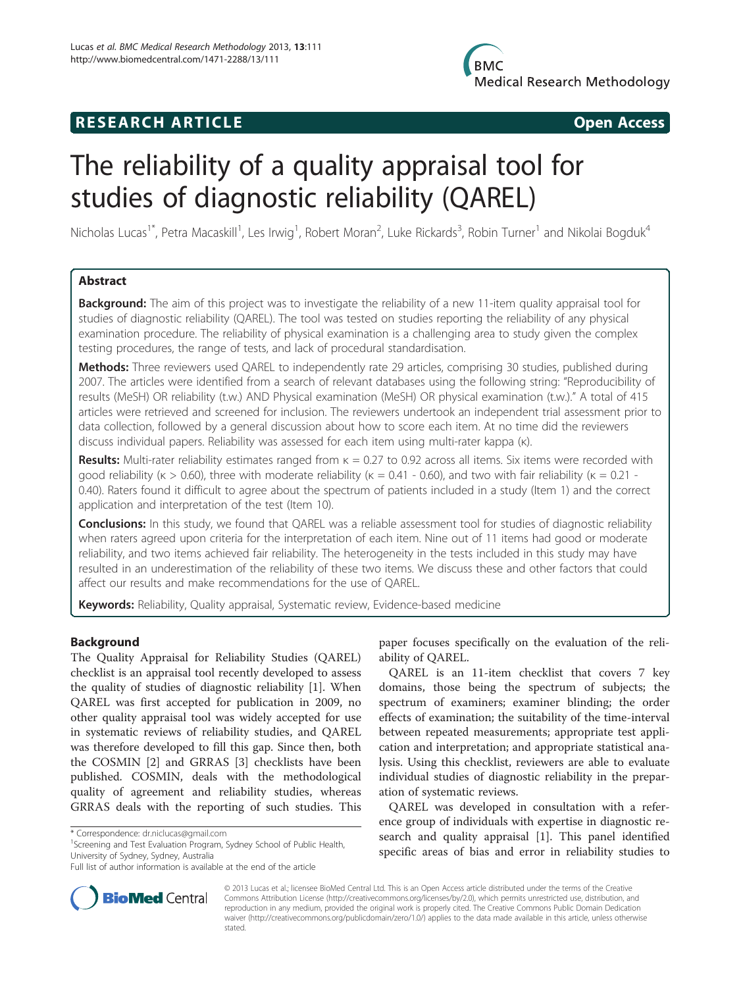# **RESEARCH ARTICLE Example 2014 CONSIDERING CONSIDERING CONSIDERING CONSIDERING CONSIDERING CONSIDERING CONSIDERING CONSIDERING CONSIDERING CONSIDERING CONSIDERING CONSIDERING CONSIDERING CONSIDERING CONSIDERING CONSIDE**

# The reliability of a quality appraisal tool for studies of diagnostic reliability (QAREL)

Nicholas Lucas<sup>1\*</sup>, Petra Macaskill<sup>1</sup>, Les Irwig<sup>1</sup>, Robert Moran<sup>2</sup>, Luke Rickards<sup>3</sup>, Robin Turner<sup>1</sup> and Nikolai Bogduk<sup>4</sup>

# Abstract

**Background:** The aim of this project was to investigate the reliability of a new 11-item quality appraisal tool for studies of diagnostic reliability (QAREL). The tool was tested on studies reporting the reliability of any physical examination procedure. The reliability of physical examination is a challenging area to study given the complex testing procedures, the range of tests, and lack of procedural standardisation.

Methods: Three reviewers used QAREL to independently rate 29 articles, comprising 30 studies, published during 2007. The articles were identified from a search of relevant databases using the following string: "Reproducibility of results (MeSH) OR reliability (t.w.) AND Physical examination (MeSH) OR physical examination (t.w.)." A total of 415 articles were retrieved and screened for inclusion. The reviewers undertook an independent trial assessment prior to data collection, followed by a general discussion about how to score each item. At no time did the reviewers discuss individual papers. Reliability was assessed for each item using multi-rater kappa (κ).

Results: Multi-rater reliability estimates ranged from  $\kappa = 0.27$  to 0.92 across all items. Six items were recorded with good reliability (κ > 0.60), three with moderate reliability (κ = 0.41 - 0.60), and two with fair reliability (κ = 0.21 -0.40). Raters found it difficult to agree about the spectrum of patients included in a study (Item 1) and the correct application and interpretation of the test (Item 10).

Conclusions: In this study, we found that QAREL was a reliable assessment tool for studies of diagnostic reliability when raters agreed upon criteria for the interpretation of each item. Nine out of 11 items had good or moderate reliability, and two items achieved fair reliability. The heterogeneity in the tests included in this study may have resulted in an underestimation of the reliability of these two items. We discuss these and other factors that could affect our results and make recommendations for the use of QAREL.

Keywords: Reliability, Quality appraisal, Systematic review, Evidence-based medicine

# Background

The Quality Appraisal for Reliability Studies (QAREL) checklist is an appraisal tool recently developed to assess the quality of studies of diagnostic reliability [\[1](#page-4-0)]. When QAREL was first accepted for publication in 2009, no other quality appraisal tool was widely accepted for use in systematic reviews of reliability studies, and QAREL was therefore developed to fill this gap. Since then, both the COSMIN [[2\]](#page-4-0) and GRRAS [[3\]](#page-4-0) checklists have been published. COSMIN, deals with the methodological quality of agreement and reliability studies, whereas GRRAS deals with the reporting of such studies. This

<sup>1</sup>Screening and Test Evaluation Program, Sydney School of Public Health, University of Sydney, Sydney, Australia

paper focuses specifically on the evaluation of the reliability of QAREL.

QAREL is an 11-item checklist that covers 7 key domains, those being the spectrum of subjects; the spectrum of examiners; examiner blinding; the order effects of examination; the suitability of the time-interval between repeated measurements; appropriate test application and interpretation; and appropriate statistical analysis. Using this checklist, reviewers are able to evaluate individual studies of diagnostic reliability in the preparation of systematic reviews.

QAREL was developed in consultation with a reference group of individuals with expertise in diagnostic research and quality appraisal [[1\]](#page-4-0). This panel identified specific areas of bias and error in reliability studies to



© 2013 Lucas et al.; licensee BioMed Central Ltd. This is an Open Access article distributed under the terms of the Creative Commons Attribution License [\(http://creativecommons.org/licenses/by/2.0\)](http://creativecommons.org/licenses/by/2.0), which permits unrestricted use, distribution, and reproduction in any medium, provided the original work is properly cited. The Creative Commons Public Domain Dedication waiver [\(http://creativecommons.org/publicdomain/zero/1.0/\)](http://creativecommons.org/publicdomain/zero/1.0/) applies to the data made available in this article, unless otherwise stated.

<sup>\*</sup> Correspondence: [dr.niclucas@gmail.com](mailto:dr.niclucas@gmail.com) <sup>1</sup>

Full list of author information is available at the end of the article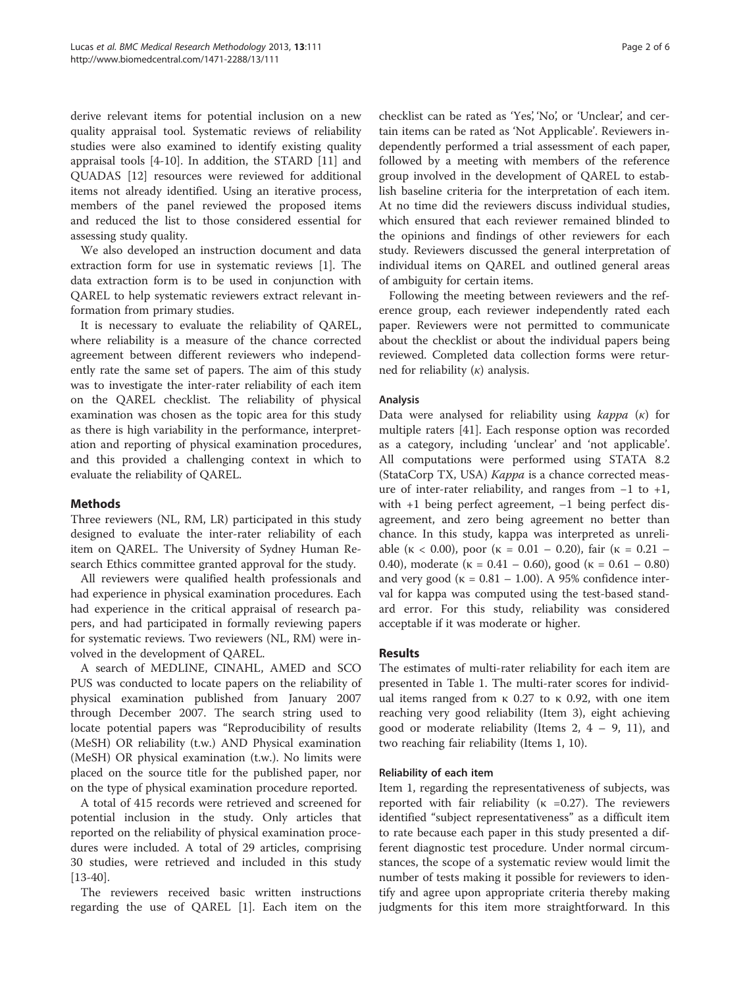derive relevant items for potential inclusion on a new quality appraisal tool. Systematic reviews of reliability studies were also examined to identify existing quality appraisal tools [[4-10\]](#page-4-0). In addition, the STARD [[11](#page-4-0)] and QUADAS [[12](#page-4-0)] resources were reviewed for additional items not already identified. Using an iterative process, members of the panel reviewed the proposed items and reduced the list to those considered essential for assessing study quality.

We also developed an instruction document and data extraction form for use in systematic reviews [\[1](#page-4-0)]. The data extraction form is to be used in conjunction with QAREL to help systematic reviewers extract relevant information from primary studies.

It is necessary to evaluate the reliability of QAREL, where reliability is a measure of the chance corrected agreement between different reviewers who independently rate the same set of papers. The aim of this study was to investigate the inter-rater reliability of each item on the QAREL checklist. The reliability of physical examination was chosen as the topic area for this study as there is high variability in the performance, interpretation and reporting of physical examination procedures, and this provided a challenging context in which to evaluate the reliability of QAREL.

# Methods

Three reviewers (NL, RM, LR) participated in this study designed to evaluate the inter-rater reliability of each item on QAREL. The University of Sydney Human Research Ethics committee granted approval for the study.

All reviewers were qualified health professionals and had experience in physical examination procedures. Each had experience in the critical appraisal of research papers, and had participated in formally reviewing papers for systematic reviews. Two reviewers (NL, RM) were involved in the development of QAREL.

A search of MEDLINE, CINAHL, AMED and SCO PUS was conducted to locate papers on the reliability of physical examination published from January 2007 through December 2007. The search string used to locate potential papers was "Reproducibility of results (MeSH) OR reliability (t.w.) AND Physical examination (MeSH) OR physical examination (t.w.). No limits were placed on the source title for the published paper, nor on the type of physical examination procedure reported.

A total of 415 records were retrieved and screened for potential inclusion in the study. Only articles that reported on the reliability of physical examination procedures were included. A total of 29 articles, comprising 30 studies, were retrieved and included in this study [[13-](#page-4-0)[40](#page-5-0)].

The reviewers received basic written instructions regarding the use of QAREL [[1\]](#page-4-0). Each item on the

checklist can be rated as 'Yes', 'No', or 'Unclear', and certain items can be rated as 'Not Applicable'. Reviewers independently performed a trial assessment of each paper, followed by a meeting with members of the reference group involved in the development of QAREL to establish baseline criteria for the interpretation of each item. At no time did the reviewers discuss individual studies, which ensured that each reviewer remained blinded to the opinions and findings of other reviewers for each study. Reviewers discussed the general interpretation of individual items on QAREL and outlined general areas of ambiguity for certain items.

Following the meeting between reviewers and the reference group, each reviewer independently rated each paper. Reviewers were not permitted to communicate about the checklist or about the individual papers being reviewed. Completed data collection forms were returned for reliability  $(\kappa)$  analysis.

# Analysis

Data were analysed for reliability using  $\kappa$ appa (κ) for multiple raters [\[41\]](#page-5-0). Each response option was recorded as a category, including 'unclear' and 'not applicable'. All computations were performed using STATA 8.2 (StataCorp TX, USA) Kappa is a chance corrected measure of inter-rater reliability, and ranges from  $-1$  to  $+1$ , with +1 being perfect agreement, –1 being perfect disagreement, and zero being agreement no better than chance. In this study, kappa was interpreted as unreliable ( $\kappa$  < 0.00), poor ( $\kappa$  = 0.01 – 0.20), fair ( $\kappa$  = 0.21 – 0.40), moderate ( $\kappa = 0.41 - 0.60$ ), good ( $\kappa = 0.61 - 0.80$ ) and very good ( $\kappa = 0.81 - 1.00$ ). A 95% confidence interval for kappa was computed using the test-based standard error. For this study, reliability was considered acceptable if it was moderate or higher.

# Results

The estimates of multi-rater reliability for each item are presented in Table [1.](#page-2-0) The multi-rater scores for individual items ranged from κ 0.27 to κ 0.92, with one item reaching very good reliability (Item 3), eight achieving good or moderate reliability (Items 2, 4 – 9, 11), and two reaching fair reliability (Items 1, 10).

#### Reliability of each item

Item 1, regarding the representativeness of subjects, was reported with fair reliability ( $\kappa$  =0.27). The reviewers identified "subject representativeness" as a difficult item to rate because each paper in this study presented a different diagnostic test procedure. Under normal circumstances, the scope of a systematic review would limit the number of tests making it possible for reviewers to identify and agree upon appropriate criteria thereby making judgments for this item more straightforward. In this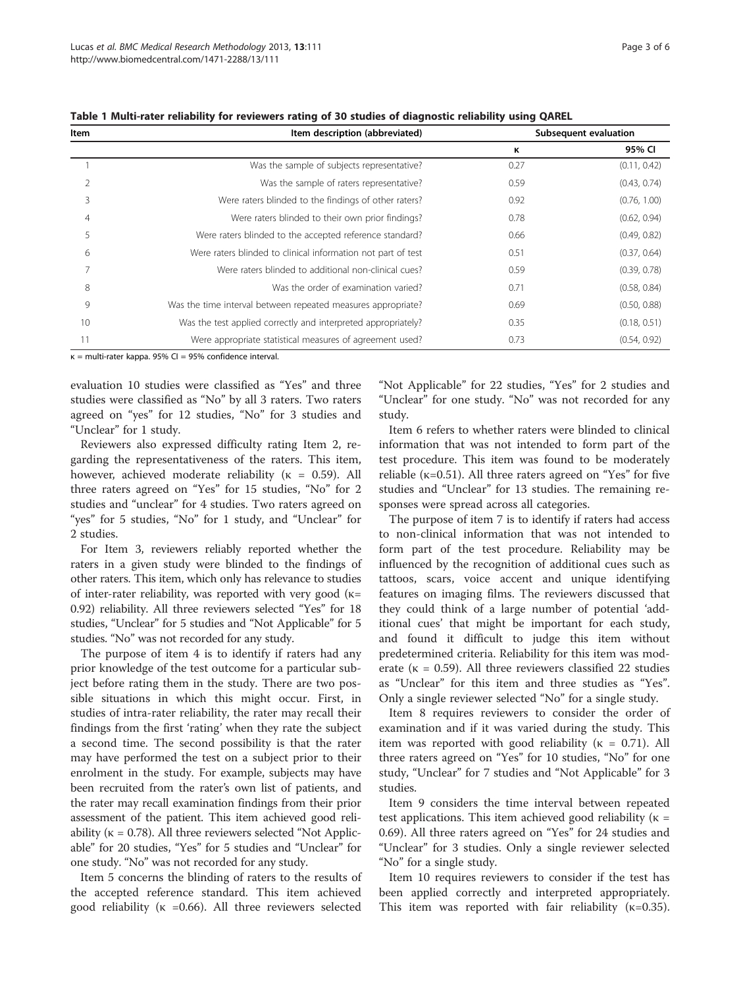$\overline{\phantom{a}}$ 

| ltem | Item description (abbreviated)                                | Subsequent evaluation |              |
|------|---------------------------------------------------------------|-----------------------|--------------|
|      |                                                               | к                     | 95% CI       |
|      | Was the sample of subjects representative?                    | 0.27                  | (0.11, 0.42) |
|      | Was the sample of raters representative?                      | 0.59                  | (0.43, 0.74) |
| 3    | Were raters blinded to the findings of other raters?          | 0.92                  | (0.76, 1.00) |
| 4    | Were raters blinded to their own prior findings?              | 0.78                  | (0.62, 0.94) |
|      | Were raters blinded to the accepted reference standard?       | 0.66                  | (0.49, 0.82) |
| 6    | Were raters blinded to clinical information not part of test  | 0.51                  | (0.37, 0.64) |
|      | Were raters blinded to additional non-clinical cues?          | 0.59                  | (0.39, 0.78) |
| 8    | Was the order of examination varied?                          | 0.71                  | (0.58, 0.84) |
| 9    | Was the time interval between repeated measures appropriate?  | 0.69                  | (0.50, 0.88) |
| 10   | Was the test applied correctly and interpreted appropriately? | 0.35                  | (0.18, 0.51) |

11 Were appropriate statistical measures of agreement used? 0.73 (0.54, 0.92)

<span id="page-2-0"></span>Table 1 Multi-rater reliability for reviewers rating of 30 studies of diagnostic reliability using QAREL

 $κ =$  multi-rater kappa. 95% CI = 95% confidence interval.

evaluation 10 studies were classified as "Yes" and three studies were classified as "No" by all 3 raters. Two raters agreed on "yes" for 12 studies, "No" for 3 studies and "Unclear" for 1 study.

Reviewers also expressed difficulty rating Item 2, regarding the representativeness of the raters. This item, however, achieved moderate reliability ( $\kappa = 0.59$ ). All three raters agreed on "Yes" for 15 studies, "No" for 2 studies and "unclear" for 4 studies. Two raters agreed on "yes" for 5 studies, "No" for 1 study, and "Unclear" for 2 studies.

For Item 3, reviewers reliably reported whether the raters in a given study were blinded to the findings of other raters. This item, which only has relevance to studies of inter-rater reliability, was reported with very good  $(k=$ 0.92) reliability. All three reviewers selected "Yes" for 18 studies, "Unclear" for 5 studies and "Not Applicable" for 5 studies. "No" was not recorded for any study.

The purpose of item 4 is to identify if raters had any prior knowledge of the test outcome for a particular subject before rating them in the study. There are two possible situations in which this might occur. First, in studies of intra-rater reliability, the rater may recall their findings from the first 'rating' when they rate the subject a second time. The second possibility is that the rater may have performed the test on a subject prior to their enrolment in the study. For example, subjects may have been recruited from the rater's own list of patients, and the rater may recall examination findings from their prior assessment of the patient. This item achieved good reliability ( $\kappa = 0.78$ ). All three reviewers selected "Not Applicable" for 20 studies, "Yes" for 5 studies and "Unclear" for one study. "No" was not recorded for any study.

Item 5 concerns the blinding of raters to the results of the accepted reference standard. This item achieved good reliability ( $\kappa = 0.66$ ). All three reviewers selected

"Not Applicable" for 22 studies, "Yes" for 2 studies and "Unclear" for one study. "No" was not recorded for any study.

Item 6 refers to whether raters were blinded to clinical information that was not intended to form part of the test procedure. This item was found to be moderately reliable ( $\kappa$ =0.51). All three raters agreed on "Yes" for five studies and "Unclear" for 13 studies. The remaining responses were spread across all categories.

The purpose of item 7 is to identify if raters had access to non-clinical information that was not intended to form part of the test procedure. Reliability may be influenced by the recognition of additional cues such as tattoos, scars, voice accent and unique identifying features on imaging films. The reviewers discussed that they could think of a large number of potential 'additional cues' that might be important for each study, and found it difficult to judge this item without predetermined criteria. Reliability for this item was moderate ( $\kappa$  = 0.59). All three reviewers classified 22 studies as "Unclear" for this item and three studies as "Yes". Only a single reviewer selected "No" for a single study.

Item 8 requires reviewers to consider the order of examination and if it was varied during the study. This item was reported with good reliability ( $\kappa = 0.71$ ). All three raters agreed on "Yes" for 10 studies, "No" for one study, "Unclear" for 7 studies and "Not Applicable" for 3 studies.

Item 9 considers the time interval between repeated test applications. This item achieved good reliability ( $\kappa =$ 0.69). All three raters agreed on "Yes" for 24 studies and "Unclear" for 3 studies. Only a single reviewer selected "No" for a single study.

Item 10 requires reviewers to consider if the test has been applied correctly and interpreted appropriately. This item was reported with fair reliability  $(\kappa=0.35)$ .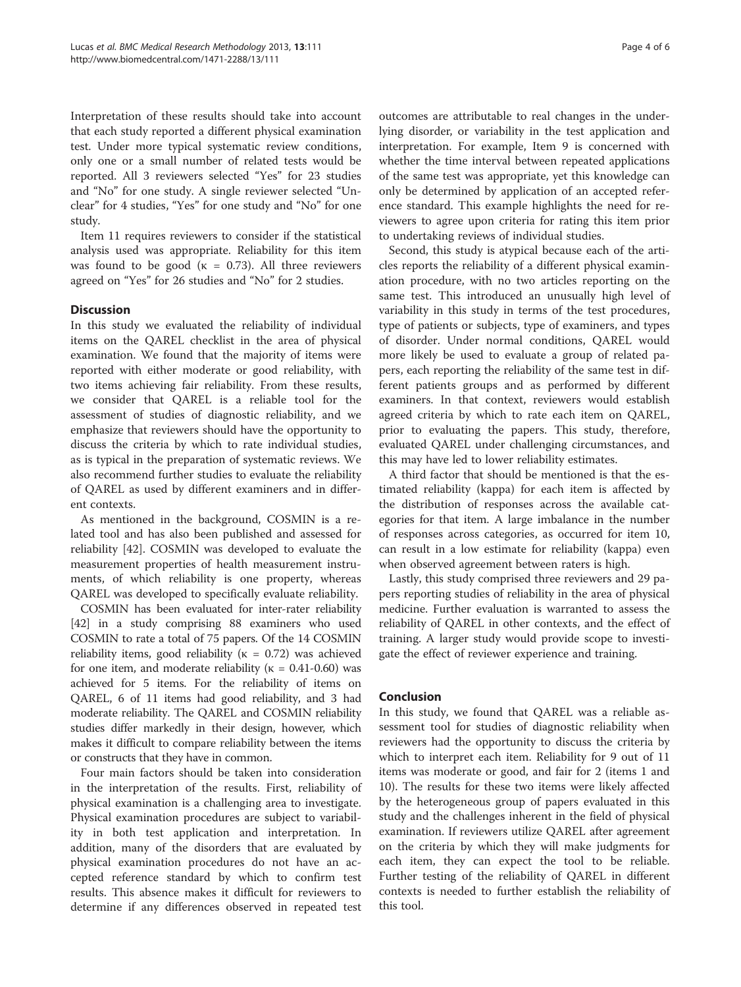Interpretation of these results should take into account that each study reported a different physical examination test. Under more typical systematic review conditions, only one or a small number of related tests would be reported. All 3 reviewers selected "Yes" for 23 studies and "No" for one study. A single reviewer selected "Unclear" for 4 studies, "Yes" for one study and "No" for one study.

Item 11 requires reviewers to consider if the statistical analysis used was appropriate. Reliability for this item was found to be good ( $\kappa = 0.73$ ). All three reviewers agreed on "Yes" for 26 studies and "No" for 2 studies.

# **Discussion**

In this study we evaluated the reliability of individual items on the QAREL checklist in the area of physical examination. We found that the majority of items were reported with either moderate or good reliability, with two items achieving fair reliability. From these results, we consider that QAREL is a reliable tool for the assessment of studies of diagnostic reliability, and we emphasize that reviewers should have the opportunity to discuss the criteria by which to rate individual studies, as is typical in the preparation of systematic reviews. We also recommend further studies to evaluate the reliability of QAREL as used by different examiners and in different contexts.

As mentioned in the background, COSMIN is a related tool and has also been published and assessed for reliability [[42\]](#page-5-0). COSMIN was developed to evaluate the measurement properties of health measurement instruments, of which reliability is one property, whereas QAREL was developed to specifically evaluate reliability.

COSMIN has been evaluated for inter-rater reliability [[42](#page-5-0)] in a study comprising 88 examiners who used COSMIN to rate a total of 75 papers. Of the 14 COSMIN reliability items, good reliability ( $\kappa = 0.72$ ) was achieved for one item, and moderate reliability ( $\kappa = 0.41$ -0.60) was achieved for 5 items. For the reliability of items on QAREL, 6 of 11 items had good reliability, and 3 had moderate reliability. The QAREL and COSMIN reliability studies differ markedly in their design, however, which makes it difficult to compare reliability between the items or constructs that they have in common.

Four main factors should be taken into consideration in the interpretation of the results. First, reliability of physical examination is a challenging area to investigate. Physical examination procedures are subject to variability in both test application and interpretation. In addition, many of the disorders that are evaluated by physical examination procedures do not have an accepted reference standard by which to confirm test results. This absence makes it difficult for reviewers to determine if any differences observed in repeated test

outcomes are attributable to real changes in the underlying disorder, or variability in the test application and interpretation. For example, Item 9 is concerned with whether the time interval between repeated applications of the same test was appropriate, yet this knowledge can only be determined by application of an accepted reference standard. This example highlights the need for reviewers to agree upon criteria for rating this item prior to undertaking reviews of individual studies.

Second, this study is atypical because each of the articles reports the reliability of a different physical examination procedure, with no two articles reporting on the same test. This introduced an unusually high level of variability in this study in terms of the test procedures, type of patients or subjects, type of examiners, and types of disorder. Under normal conditions, QAREL would more likely be used to evaluate a group of related papers, each reporting the reliability of the same test in different patients groups and as performed by different examiners. In that context, reviewers would establish agreed criteria by which to rate each item on QAREL, prior to evaluating the papers. This study, therefore, evaluated QAREL under challenging circumstances, and this may have led to lower reliability estimates.

A third factor that should be mentioned is that the estimated reliability (kappa) for each item is affected by the distribution of responses across the available categories for that item. A large imbalance in the number of responses across categories, as occurred for item 10, can result in a low estimate for reliability (kappa) even when observed agreement between raters is high.

Lastly, this study comprised three reviewers and 29 papers reporting studies of reliability in the area of physical medicine. Further evaluation is warranted to assess the reliability of QAREL in other contexts, and the effect of training. A larger study would provide scope to investigate the effect of reviewer experience and training.

#### Conclusion

In this study, we found that QAREL was a reliable assessment tool for studies of diagnostic reliability when reviewers had the opportunity to discuss the criteria by which to interpret each item. Reliability for 9 out of 11 items was moderate or good, and fair for 2 (items 1 and 10). The results for these two items were likely affected by the heterogeneous group of papers evaluated in this study and the challenges inherent in the field of physical examination. If reviewers utilize QAREL after agreement on the criteria by which they will make judgments for each item, they can expect the tool to be reliable. Further testing of the reliability of QAREL in different contexts is needed to further establish the reliability of this tool.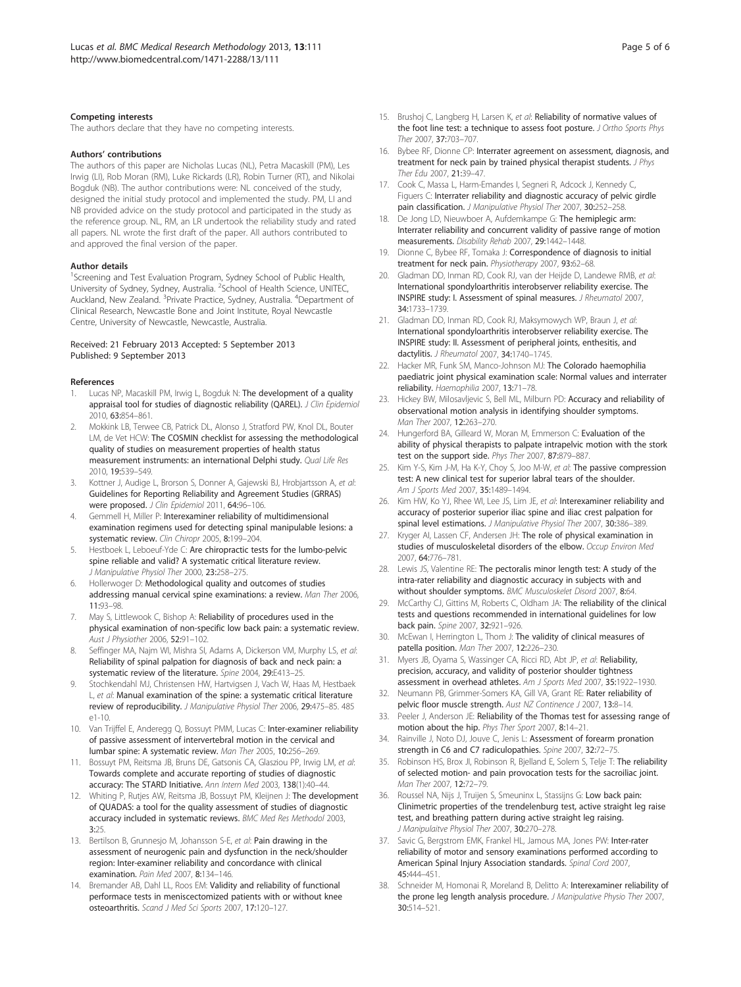#### <span id="page-4-0"></span>Competing interests

The authors declare that they have no competing interests.

#### Authors' contributions

The authors of this paper are Nicholas Lucas (NL), Petra Macaskill (PM), Les Irwig (LI), Rob Moran (RM), Luke Rickards (LR), Robin Turner (RT), and Nikolai Bogduk (NB). The author contributions were: NL conceived of the study, designed the initial study protocol and implemented the study. PM, LI and NB provided advice on the study protocol and participated in the study as the reference group. NL, RM, an LR undertook the reliability study and rated all papers. NL wrote the first draft of the paper. All authors contributed to and approved the final version of the paper.

#### Author details

<sup>1</sup>Screening and Test Evaluation Program, Sydney School of Public Health, University of Sydney, Sydney, Australia. <sup>2</sup>School of Health Science, UNITEC, Auckland, New Zealand. <sup>3</sup> Private Practice, Sydney, Australia. <sup>4</sup> Department of Clinical Research, Newcastle Bone and Joint Institute, Royal Newcastle Centre, University of Newcastle, Newcastle, Australia.

#### Received: 21 February 2013 Accepted: 5 September 2013 Published: 9 September 2013

#### References

- Lucas NP, Macaskill PM, Irwig L, Bogduk N: The development of a quality appraisal tool for studies of diagnostic reliability (QAREL). J Clin Epidemiol 2010, 63:854–861.
- 2. Mokkink LB, Terwee CB, Patrick DL, Alonso J, Stratford PW, Knol DL, Bouter LM, de Vet HCW: The COSMIN checklist for assessing the methodological quality of studies on measurement properties of health status measurement instruments: an international Delphi study. Qual Life Res 2010, 19:539–549.
- 3. Kottner J, Audige L, Brorson S, Donner A, Gajewski BJ, Hrobjartsson A, et al: Guidelines for Reporting Reliability and Agreement Studies (GRRAS) were proposed. J Clin Epidemiol 2011, 64:96–106.
- 4. Gemmell H, Miller P: Interexaminer reliability of multidimensional examination regimens used for detecting spinal manipulable lesions: a systematic review. Clin Chiropr 2005, 8:199–204.
- Hestboek L, Leboeuf-Yde C: Are chiropractic tests for the lumbo-pelvic spine reliable and valid? A systematic critical literature review. J Manipulative Physiol Ther 2000, 23:258–275.
- 6. Hollerwoger D: Methodological quality and outcomes of studies addressing manual cervical spine examinations: a review. Man Ther 2006, 11:93–98.
- 7. May S, Littlewook C, Bishop A: Reliability of procedures used in the physical examination of non-specific low back pain: a systematic review. Aust J Physiother 2006, 52:91–102.
- Seffinger MA, Najm WI, Mishra SI, Adams A, Dickerson VM, Murphy LS, et al: Reliability of spinal palpation for diagnosis of back and neck pain: a systematic review of the literature. Spine 2004, 29:E413–25.
- 9. Stochkendahl MJ, Christensen HW, Hartvigsen J, Vach W, Haas M, Hestbaek L, et al: Manual examination of the spine: a systematic critical literature review of reproducibility. J Manipulative Physiol Ther 2006, 29:475–85. 485 e1-10.
- 10. Van Trijffel E, Anderegg Q, Bossuyt PMM, Lucas C: Inter-examiner reliability of passive assessment of intervertebral motion in the cervical and lumbar spine: A systematic review. Man Ther 2005, 10:256–269.
- 11. Bossuyt PM, Reitsma JB, Bruns DE, Gatsonis CA, Glasziou PP, Irwig LM, et al: Towards complete and accurate reporting of studies of diagnostic accuracy: The STARD Initiative. Ann Intern Med 2003, 138(1):40–44.
- 12. Whiting P, Rutjes AW, Reitsma JB, Bossuyt PM, Kleijnen J: The development of QUADAS: a tool for the quality assessment of studies of diagnostic accuracy included in systematic reviews. BMC Med Res Methodol 2003, 3:25.
- 13. Bertilson B, Grunnesjo M, Johansson S-E, et al: Pain drawing in the assessment of neurogenic pain and dysfunction in the neck/shoulder region: Inter-examiner reliability and concordance with clinical examination. Pain Med 2007, 8:134-146.
- 14. Bremander AB, Dahl LL, Roos EM: Validity and reliability of functional performace tests in meniscectomized patients with or without knee osteoarthritis. Scand J Med Sci Sports 2007, 17:120–127.
- 15. Brushoj C, Langberg H, Larsen K, et al: Reliability of normative values of the foot line test: a technique to assess foot posture. J Ortho Sports Phys Ther 2007, 37:703–707.
- 16. Bybee RF, Dionne CP: Interrater agreement on assessment, diagnosis, and treatment for neck pain by trained physical therapist students. J Phys Ther Edu 2007, 21:39–47.
- 17. Cook C, Massa L, Harm-Emandes I, Segneri R, Adcock J, Kennedy C, Figuers C: Interrater reliability and diagnostic accuracy of pelvic girdle pain classification. J Manipulative Physiol Ther 2007, 30:252-258.
- 18. De Jong LD, Nieuwboer A, Aufdemkampe G: The hemiplegic arm: Interrater reliability and concurrent validity of passive range of motion measurements. Disability Rehab 2007, 29:1442–1448.
- 19. Dionne C, Bybee RF, Tomaka J: Correspondence of diagnosis to initial treatment for neck pain. Physiotherapy 2007, 93:62–68.
- 20. Gladman DD, Inman RD, Cook RJ, van der Heijde D, Landewe RMB, et al: International spondyloarthritis interobserver reliability exercise. The INSPIRE study: I. Assessment of spinal measures. J Rheumatol 2007, 34:1733–1739.
- 21. Gladman DD, Inman RD, Cook RJ, Maksymowych WP, Braun J, et al: International spondyloarthritis interobserver reliability exercise. The INSPIRE study: II. Assessment of peripheral joints, enthesitis, and dactylitis. J Rheumatol 2007, 34:1740–1745.
- 22. Hacker MR, Funk SM, Manco-Johnson MJ: The Colorado haemophilia paediatric joint physical examination scale: Normal values and interrater reliability. Haemophilia 2007, 13:71-78.
- 23. Hickey BW, Milosavljevic S, Bell ML, Milburn PD: Accuracy and reliability of observational motion analysis in identifying shoulder symptoms. Man Ther 2007, 12:263–270.
- 24. Hungerford BA, Gilleard W, Moran M, Emmerson C: Evaluation of the ability of physical therapists to palpate intrapelvic motion with the stork test on the support side. Phys Ther 2007, 87:879–887.
- 25. Kim Y-S, Kim J-M, Ha K-Y, Choy S, Joo M-W, et al: The passive compression test: A new clinical test for superior labral tears of the shoulder. Am J Sports Med 2007, 35:1489–1494.
- 26. Kim HW, Ko YJ, Rhee WI, Lee JS, Lim JE, et al: Interexaminer reliability and accuracy of posterior superior iliac spine and iliac crest palpation for spinal level estimations. J Manipulative Physiol Ther 2007, 30:386-389.
- 27. Kryger AI, Lassen CF, Andersen JH: The role of physical examination in studies of musculoskeletal disorders of the elbow. Occup Environ Med 2007, 64:776–781.
- 28. Lewis JS, Valentine RE: The pectoralis minor length test: A study of the intra-rater reliability and diagnostic accuracy in subjects with and without shoulder symptoms. BMC Musculoskelet Disord 2007, 8:64.
- 29. McCarthy CJ, Gittins M, Roberts C, Oldham JA: The reliability of the clinical tests and questions recommended in international guidelines for low back pain. Spine 2007, 32:921–926.
- 30. McEwan I, Herrington L, Thom J: The validity of clinical measures of patella position. Man Ther 2007, 12:226–230.
- 31. Myers JB, Oyama S, Wassinger CA, Ricci RD, Abt JP, et al: Reliability, precision, accuracy, and validity of posterior shoulder tightness assessment in overhead athletes. Am J Sports Med 2007, 35:1922-1930.
- 32. Neumann PB, Grimmer-Somers KA, Gill VA, Grant RE: Rater reliability of pelvic floor muscle strength. Aust NZ Continence J 2007, 13:8-14.
- 33. Peeler J, Anderson JE: Reliability of the Thomas test for assessing range of motion about the hip. Phys Ther Sport 2007, 8:14–21.
- 34. Rainville J, Noto DJ, Jouve C, Jenis L: Assessment of forearm pronation strength in C6 and C7 radiculopathies. Spine 2007, 32:72–75.
- 35. Robinson HS, Brox JI, Robinson R, Bjelland E, Solem S, Telje T: The reliability of selected motion- and pain provocation tests for the sacroiliac joint. Man Ther 2007, 12:72–79.
- 36. Roussel NA, Nijs J, Truijen S, Smeuninx L, Stassijns G: Low back pain: Clinimetric properties of the trendelenburg test, active straight leg raise test, and breathing pattern during active straight leg raising. J Manipulaitve Physiol Ther 2007, 30:270-278.
- 37. Savic G, Bergstrom EMK, Frankel HL, Jamous MA, Jones PW: Inter-rater reliability of motor and sensory examinations performed according to American Spinal Injury Association standards. Spinal Cord 2007, 45:444–451.
- 38. Schneider M, Homonai R, Moreland B, Delitto A: Interexaminer reliability of the prone leg length analysis procedure. J Manipulative Physio Ther 2007, 30:514–521.